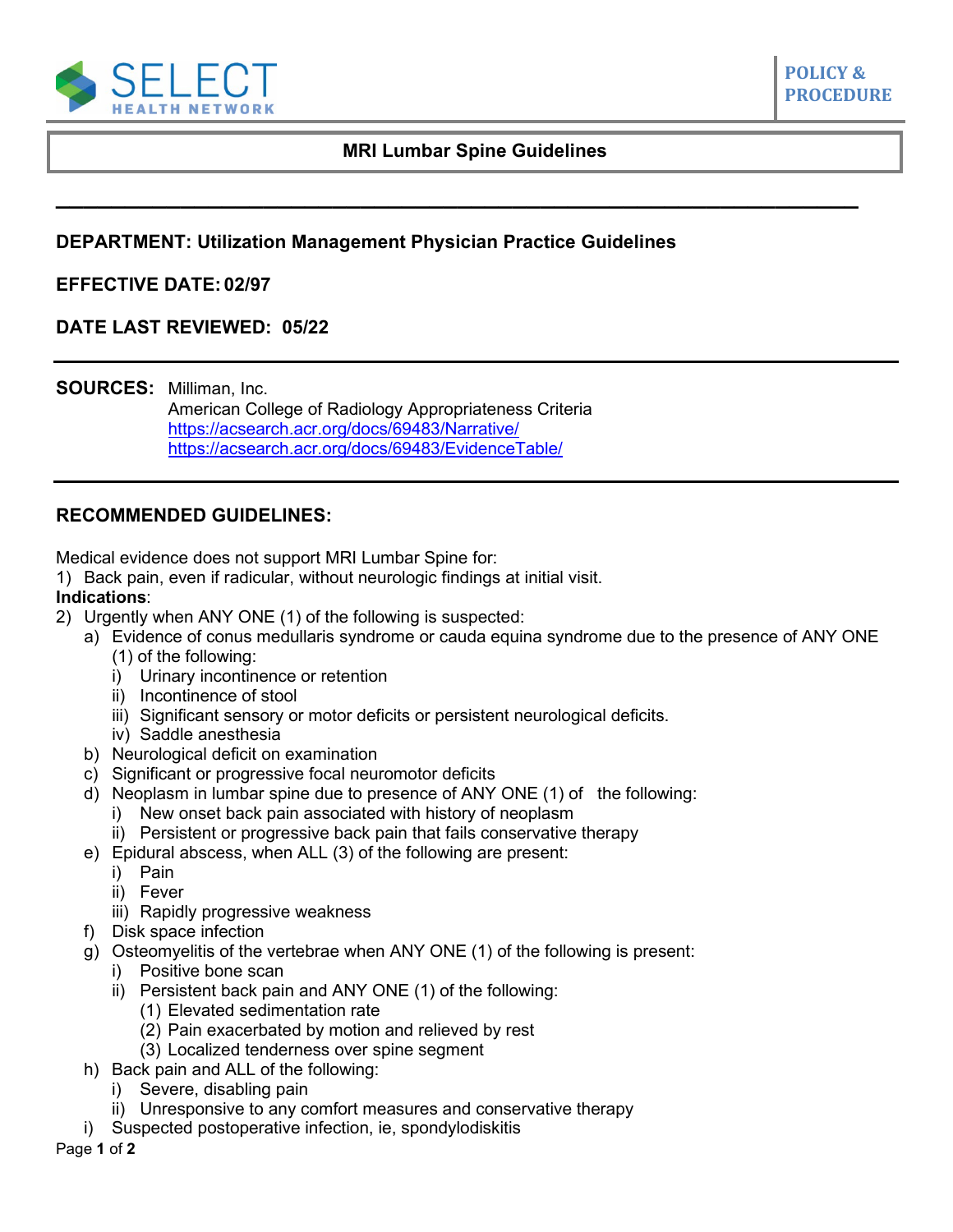

**\_\_\_\_\_\_\_\_\_\_\_\_\_\_\_\_\_\_\_\_\_\_\_\_\_\_\_\_\_\_\_\_\_\_\_\_\_\_\_\_\_\_\_\_\_\_\_\_\_\_\_\_\_\_\_\_\_\_**

# **DEPARTMENT: Utilization Management Physician Practice Guidelines**

### **EFFECTIVE DATE: 02/97**

## **DATE LAST REVIEWED: 05/22**

**SOURCES:** Milliman, Inc.

American College of Radiology Appropriateness Criteria <https://acsearch.acr.org/docs/69483/Narrative/> [https://acsearch.acr.org/docs/69483/EvidenceTable/](https://acsearch.acr.org/list/GetEvidence?TopicId=141&TopicName=Low%20Back%20Pain)

## **RECOMMENDED GUIDELINES:**

Medical evidence does not support MRI Lumbar Spine for:

1) Back pain, even if radicular, without neurologic findings at initial visit.

#### **Indications**:

- 2) Urgently when ANY ONE (1) of the following is suspected:
	- a) Evidence of conus medullaris syndrome or cauda equina syndrome due to the presence of ANY ONE
		- (1) of the following:
		- i) Urinary incontinence or retention
		- ii) Incontinence of stool
		- iii) Significant sensory or motor deficits or persistent neurological deficits.
		- iv) Saddle anesthesia
	- b) Neurological deficit on examination
	- c) Significant or progressive focal neuromotor deficits
	- d) Neoplasm in lumbar spine due to presence of ANY ONE (1) of the following:
		- i) New onset back pain associated with history of neoplasm
		- ii) Persistent or progressive back pain that fails conservative therapy
	- e) Epidural abscess, when ALL (3) of the following are present:
		- i) Pain
		- ii) Fever
		- iii) Rapidly progressive weakness
	- f) Disk space infection
	- g) Osteomyelitis of the vertebrae when ANY ONE (1) of the following is present:
		- i) Positive bone scan
		- ii) Persistent back pain and ANY ONE (1) of the following:
			- (1) Elevated sedimentation rate
			- (2) Pain exacerbated by motion and relieved by rest
			- (3) Localized tenderness over spine segment
	- h) Back pain and ALL of the following:
		- i) Severe, disabling pain
		- ii) Unresponsive to any comfort measures and conservative therapy
	- i) Suspected postoperative infection, ie, spondylodiskitis